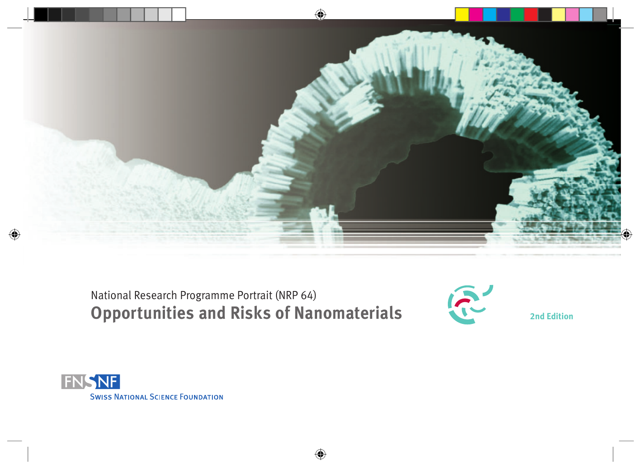

National Research Programme Portrait (NRP 64) **Opportunities and Risks of Nanomaterials** 



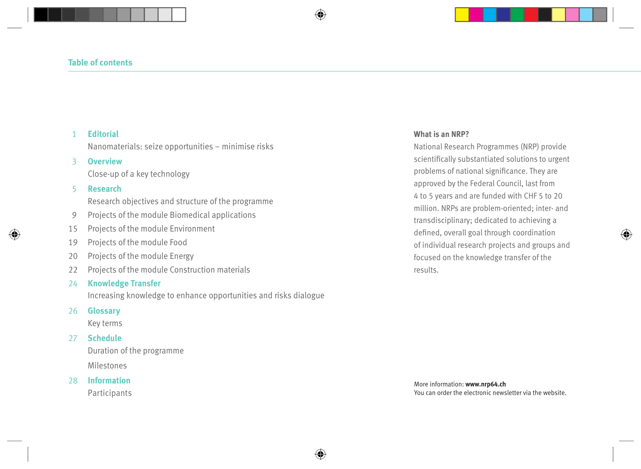#### 1 **Editorial**

Nanomaterials: seize opportunities – minimise risks

#### 3 **Overview**

Close-up of a key technology

#### 5 **Research**

Research objectives and structure of the programme

- 9 Projects of the module Biomedical applications
- 15 Projects of the module Environment
- 19 Projects of the module Food
- 20 Projects of the module Energy
- 22 Projects of the module Construction materials

#### 24 **Knowledge Transfer**

Increasing knowledge to enhance opportunities and risks dialogue

#### 26 **Glossary**

Key terms

#### 27 **Schedule**

Duration of the programme Milestones

28 **Information**

Participants

#### **What is an NRP?**

National Research Programmes (NRP) provide scientifically substantiated solutions to urgent problems of national significance. They are approved by the Federal Council, last from 4 to 5 years and are funded with CHF 5 to 20 million. NRPs are problem-oriented; inter- and transdisciplinary; dedicated to achieving a defined, overall goal through coordination of individual research projects and groups and focused on the knowledge transfer of the results.

More information: **www.nrp64.ch** You can order the electronic newsletter via the website.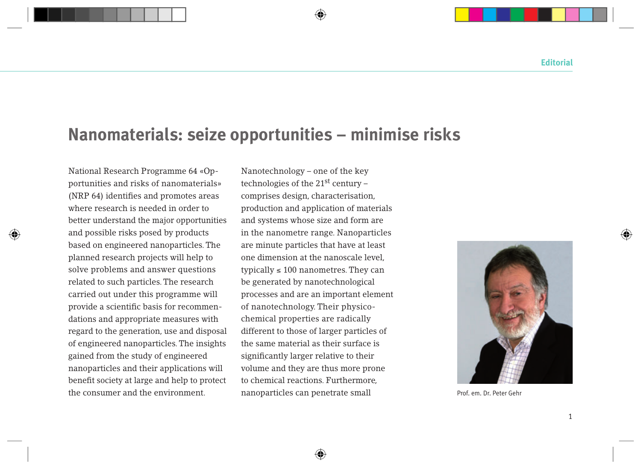## **Nanomaterials: seize opportunities – minimise risks**

National Research Programme 64 «Opportunities and risks of nanomaterials» (NRP 64) identifies and promotes areas where research is needed in order to better understand the major opportunities and possible risks posed by products based on engineered nanoparticles. The planned research projects will help to solve problems and answer questions related to such particles. The research carried out under this programme will provide a scientific basis for recommendations and appropriate measures with regard to the generation, use and disposal of engineered nanoparticles. The insights gained from the study of engineered nanoparticles and their applications will benefit society at large and help to protect the consumer and the environment.

Nanotechnology – one of the key technologies of the 21st century – comprises design, characterisation, production and application of materials and systems whose size and form are in the nanometre range. Nanoparticles are minute particles that have at least one dimension at the nanoscale level, typically  $\leq 100$  nanometres. They can be generated by nanotechnological processes and are an important element of nanotechnology. Their physicochemical properties are radically different to those of larger particles of the same material as their surface is significantly larger relative to their volume and they are thus more prone to chemical reactions. Furthermore, nanoparticles can penetrate small



Prof. em. Dr. Peter Gehr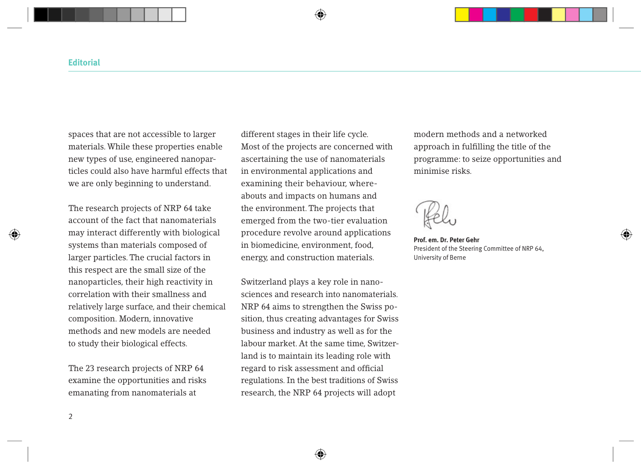spaces that are not accessible to larger materials. While these properties enable new types of use, engineered nanoparticles could also have harmful effects that we are only beginning to understand.

The research projects of NRP 64 take account of the fact that nanomaterials may interact differently with biological systems than materials composed of larger particles. The crucial factors in this respect are the small size of the nanoparticles, their high reactivity in correlation with their smallness and relatively large surface, and their chemical composition. Modern, innovative methods and new models are needed to study their biological effects.

The 23 research projects of NRP 64 examine the opportunities and risks emanating from nanomaterials at

different stages in their life cycle. Most of the projects are concerned with ascertaining the use of nanomaterials in environmental applications and examining their behaviour, whereabouts and impacts on humans and the environment. The projects that emerged from the two-tier evaluation procedure revolve around applications in biomedicine, environment, food, energy, and construction materials.

Switzerland plays a key role in nanosciences and research into nanomaterials. NRP 64 aims to strengthen the Swiss position, thus creating advantages for Swiss business and industry as well as for the labour market. At the same time, Switzerland is to maintain its leading role with regard to risk assessment and official regulations. In the best traditions of Swiss research, the NRP 64 projects will adopt

modern methods and a networked approach in fulfilling the title of the programme: to seize opportunities and minimise risks.

**Prof. em. Dr. Peter Gehr** President of the Steering Committee of NRP 64, University of Berne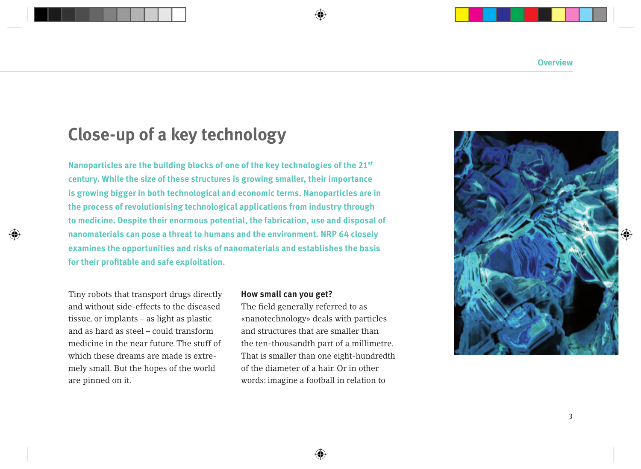## **Close-up of a key technology**

**Nanoparticles are the building blocks of one of the key technologies of the 21st century. While the size of these structures is growing smaller, their importance is growing bigger in both technological and economic terms. Nanoparticles are in the process of revolutionising technological applications from industry through to medicine. Despite their enormous potential, the fabrication, use and disposal of nanomaterials can pose a threat to humans and the environment. NRP 64 closely examines the opportunities and risks of nanomaterials and establishes the basis for their profitable and safe exploitation.** 

Tiny robots that transport drugs directly and without side-effects to the diseased tissue, or implants – as light as plastic and as hard as steel – could transform medicine in the near future. The stuff of which these dreams are made is extremely small. But the hopes of the world are pinned on it.

#### **How small can you get?**

The field generally referred to as «nanotechnology» deals with particles and structures that are smaller than the ten-thousandth part of a millimetre. That is smaller than one eight-hundredth of the diameter of a hair. Or in other words: imagine a football in relation to

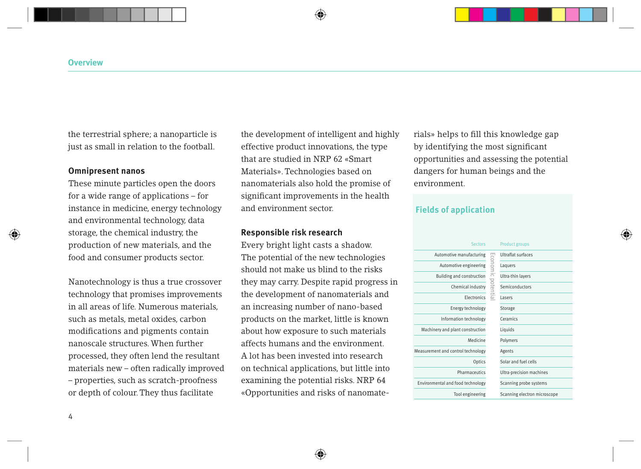the terrestrial sphere; a nanoparticle is just as small in relation to the football.

#### **Omnipresent nanos**

These minute particles open the doors for a wide range of applications – for instance in medicine, energy technology and environmental technology, data storage, the chemical industry, the production of new materials, and the food and consumer products sector.

Nanotechnology is thus a true crossover technology that promises improvements in all areas of life. Numerous materials, such as metals, metal oxides, carbon modifications and pigments contain nanoscale structures. When further processed, they often lend the resultant materials new – often radically improved – properties, such as scratch-proofness or depth of colour. They thus facilitate

the development of intelligent and highly effective product innovations, the type that are studied in NRP 62 «Smart Materials». Technologies based on nanomaterials also hold the promise of significant improvements in the health and environment sector.

#### **Responsible risk research**

Every bright light casts a shadow. The potential of the new technologies should not make us blind to the risks they may carry. Despite rapid progress in the development of nanomaterials and an increasing number of nano-based products on the market, little is known about how exposure to such materials affects humans and the environment. A lot has been invested into research on technical applications, but little into examining the potential risks. NRP 64 «Opportunities and risks of nanomaterials» helps to fill this knowledge gap by identifying the most significant opportunities and assessing the potential dangers for human beings and the environment.

#### **Fields of application**

| <b>Sectors</b>                     |                   | <b>Product groups</b>        |
|------------------------------------|-------------------|------------------------------|
| Automotive manufacturing           |                   | <b>Ultraflat surfaces</b>    |
| Automotive engineering             |                   | Laquers                      |
| Building and construction          |                   | Ultra-thin layers            |
| Chemical industry                  | Economic potentia | Semiconductors               |
| <b>Flectronics</b>                 |                   | lasers                       |
| Energy technology                  |                   | Storage                      |
| Information technology             |                   | Ceramics                     |
| Machinery and plant construction   |                   | Liquids                      |
| Medicine                           |                   | Polymers                     |
| Measurement and control technology |                   | Agents                       |
| Optics                             |                   | Solar and fuel cells         |
| Pharmaceutics                      |                   | Ultra-precision machines     |
| Environmental and food technology  |                   | Scanning probe systems       |
| Tool engineering                   |                   | Scanning electron microscope |
|                                    |                   |                              |

4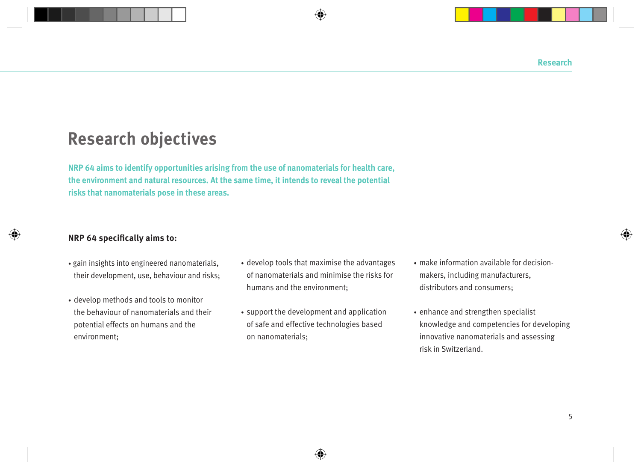## **Research objectives**

**NRP 64 aims to identify opportunities arising from the use of nanomaterials for health care, the environment and natural resources. At the same time, it intends to reveal the potential risks that nanomaterials pose in these areas.** 

#### **NRP 64 specifically aims to:**

- gain insights into engineered nanomaterials, their development, use, behaviour and risks;
- develop methods and tools to monitor the behaviour of nanomaterials and their potential effects on humans and the environment;
- develop tools that maximise the advantages of nanomaterials and minimise the risks for humans and the environment;
- support the development and application of safe and effective technologies based on nanomaterials;
- make information available for decisionmakers, including manufacturers, distributors and consumers;
- enhance and strengthen specialist knowledge and competencies for developing innovative nanomaterials and assessing risk in Switzerland.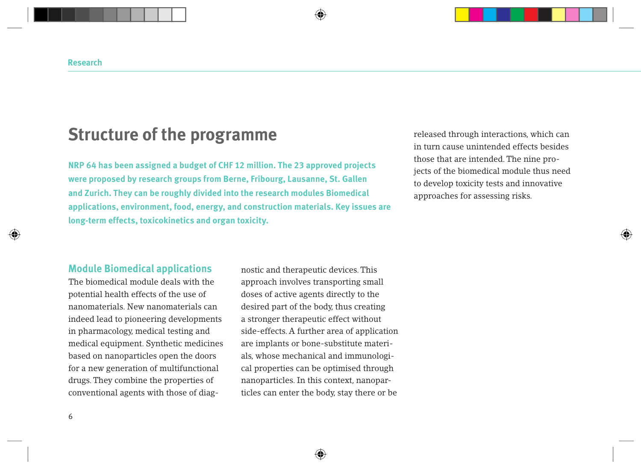## **Structure of the programme**

**NRP 64 has been assigned a budget of CHF 12 million. The 23 approved projects were proposed by research groups from Berne, Fribourg, Lausanne, St. Gallen and Zurich. They can be roughly divided into the research modules Biomedical applications, environment, food, energy, and construction materials. Key issues are long-term effects, toxicokinetics and organ toxicity.**

released through interactions, which can in turn cause unintended effects besides those that are intended. The nine projects of the biomedical module thus need to develop toxicity tests and innovative approaches for assessing risks.

### **Module Biomedical applications**

The biomedical module deals with the potential health effects of the use of nanomaterials. New nanomaterials can indeed lead to pioneering developments in pharmacology, medical testing and medical equipment. Synthetic medicines based on nanoparticles open the doors for a new generation of multifunctional drugs. They combine the properties of conventional agents with those of diagnostic and therapeutic devices. This approach involves transporting small doses of active agents directly to the desired part of the body, thus creating a stronger therapeutic effect without side-effects. A further area of application are implants or bone-substitute materials, whose mechanical and immunological properties can be optimised through nanoparticles. In this context, nanoparticles can enter the body, stay there or be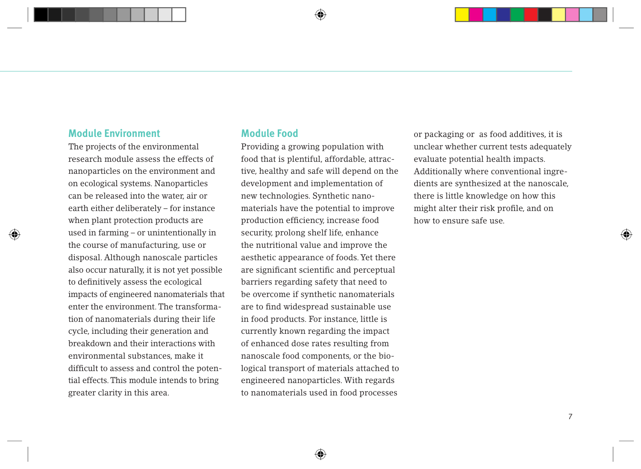#### **Module Environment**

The projects of the environmental research module assess the effects of nanoparticles on the environment and on ecological systems. Nanoparticles can be released into the water, air or earth either deliberately – for instance when plant protection products are used in farming – or unintentionally in the course of manufacturing, use or disposal. Although nanoscale particles also occur naturally, it is not yet possible to definitively assess the ecological impacts of engineered nanomaterials that enter the environment. The transformation of nanomaterials during their life cycle, including their generation and breakdown and their interactions with environmental substances, make it difficult to assess and control the potential effects. This module intends to bring greater clarity in this area.

### **Module Food**

Providing a growing population with food that is plentiful, affordable, attractive, healthy and safe will depend on the development and implementation of new technologies. Synthetic nanomaterials have the potential to improve production efficiency, increase food security, prolong shelf life, enhance the nutritional value and improve the aesthetic appearance of foods. Yet there are significant scientific and perceptual barriers regarding safety that need to be overcome if synthetic nanomaterials are to find widespread sustainable use in food products. For instance, little is currently known regarding the impact of enhanced dose rates resulting from nanoscale food components, or the biological transport of materials attached to engineered nanoparticles. With regards to nanomaterials used in food processes

or packaging or as food additives, it is unclear whether current tests adequately evaluate potential health impacts. Additionally where conventional ingredients are synthesized at the nanoscale, there is little knowledge on how this might alter their risk profile, and on how to ensure safe use.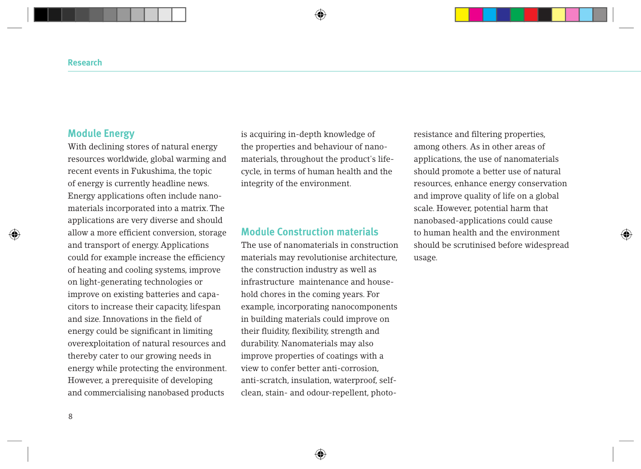### **Module Energy**

With declining stores of natural energy resources worldwide, global warming and recent events in Fukushima, the topic of energy is currently headline news. Energy applications often include nanomaterials incorporated into a matrix. The applications are very diverse and should allow a more efficient conversion, storage and transport of energy. Applications could for example increase the efficiency of heating and cooling systems, improve on light-generating technologies or improve on existing batteries and capacitors to increase their capacity, lifespan and size. Innovations in the field of energy could be significant in limiting overexploitation of natural resources and thereby cater to our growing needs in energy while protecting the environment. However, a prerequisite of developing and commercialising nanobased products

is acquiring in-depth knowledge of the properties and behaviour of nanomaterials, throughout the product's lifecycle, in terms of human health and the integrity of the environment.

#### **Module Construction materials**

The use of nanomaterials in construction materials may revolutionise architecture, the construction industry as well as infrastructure maintenance and household chores in the coming years. For example, incorporating nanocomponents in building materials could improve on their fluidity, flexibility, strength and durability. Nanomaterials may also improve properties of coatings with a view to confer better anti-corrosion, anti-scratch, insulation, waterproof, selfclean, stain- and odour-repellent, photoresistance and filtering properties, among others. As in other areas of applications, the use of nanomaterials should promote a better use of natural resources, enhance energy conservation and improve quality of life on a global scale. However, potential harm that nanobased-applications could cause to human health and the environment should be scrutinised before widespread usage.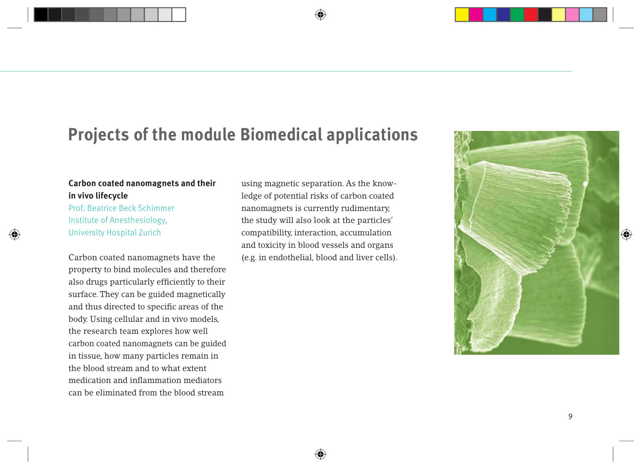## **Projects of the module Biomedical applications**

### **Carbon coated nanomagnets and their in vivo lifecycle**

Prof. Beatrice Beck Schimmer Institute of Anesthesiology, University Hospital Zurich

Carbon coated nanomagnets have the property to bind molecules and therefore also drugs particularly efficiently to their surface. They can be guided magnetically and thus directed to specific areas of the body. Using cellular and in vivo models, the research team explores how well carbon coated nanomagnets can be guided in tissue, how many particles remain in the blood stream and to what extent medication and inflammation mediators can be eliminated from the blood stream

using magnetic separation. As the knowledge of potential risks of carbon coated nanomagnets is currently rudimentary, the study will also look at the particles' compatibility, interaction, accumulation and toxicity in blood vessels and organs (e.g. in endothelial, blood and liver cells).

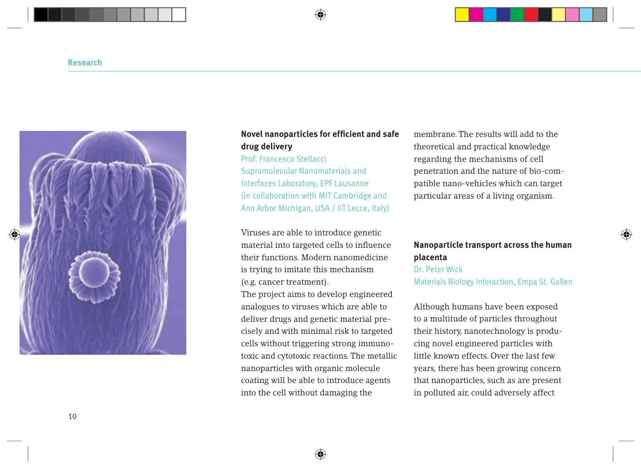

#### **Novel nanoparticles for efficient and safe drug delivery**

#### Prof. Francesco Stellacci

Supramolecular Nanomaterials and Interfaces Laboratory, EPF Lausanne (in collaboration with MIT Cambridge and Ann Arbor Michigan, USA / IIT Lecce, Italy)

Viruses are able to introduce genetic material into targeted cells to influence their functions. Modern nanomedicine is trying to imitate this mechanism (e.g. cancer treatment).

The project aims to develop engineered analogues to viruses which are able to deliver drugs and genetic material precisely and with minimal risk to targeted cells without triggering strong immunotoxic and cytotoxic reactions. The metallic nanoparticles with organic molecule coating will be able to introduce agents into the cell without damaging the

membrane. The results will add to the theoretical and practical knowledge regarding the mechanisms of cell penetration and the nature of bio-compatible nano-vehicles which can target particular areas of a living organism.

#### **Nanoparticle transport across the human placenta**

Dr. Peter Wick Materials Biology Interaction, Empa St. Gallen

Although humans have been exposed to a multitude of particles throughout their history, nanotechnology is producing novel engineered particles with little known effects. Over the last few years, there has been growing concern that nanoparticles, such as are present in polluted air, could adversely affect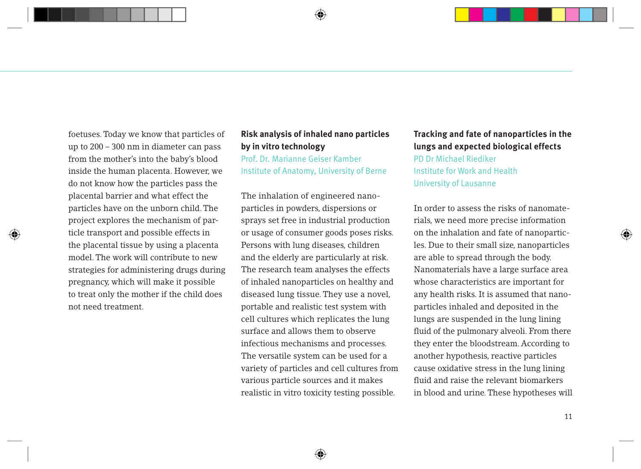foetuses. Today we know that particles of up to 200 – 300 nm in diameter can pass from the mother's into the baby's blood inside the human placenta. However, we do not know how the particles pass the placental barrier and what effect the particles have on the unborn child. The project explores the mechanism of particle transport and possible effects in the placental tissue by using a placenta model. The work will contribute to new strategies for administering drugs during pregnancy, which will make it possible to treat only the mother if the child does not need treatment.

### **Risk analysis of inhaled nano particles by in vitro technology**

Prof. Dr. Marianne Geiser Kamber Institute of Anatomy, University of Berne

The inhalation of engineered nanoparticles in powders, dispersions or sprays set free in industrial production or usage of consumer goods poses risks. Persons with lung diseases, children and the elderly are particularly at risk. The research team analyses the effects of inhaled nanoparticles on healthy and diseased lung tissue. They use a novel, portable and realistic test system with cell cultures which replicates the lung surface and allows them to observe infectious mechanisms and processes. The versatile system can be used for a variety of particles and cell cultures from various particle sources and it makes realistic in vitro toxicity testing possible.

### **Tracking and fate of nanoparticles in the lungs and expected biological effects**

PD Dr Michael Riediker Institute for Work and Health University of Lausanne

In order to assess the risks of nanomaterials, we need more precise information on the inhalation and fate of nanoparticles. Due to their small size, nanoparticles are able to spread through the body. Nanomaterials have a large surface area whose characteristics are important for any health risks. It is assumed that nanoparticles inhaled and deposited in the lungs are suspended in the lung lining fluid of the pulmonary alveoli. From there they enter the bloodstream. According to another hypothesis, reactive particles cause oxidative stress in the lung lining fluid and raise the relevant biomarkers in blood and urine. These hypotheses will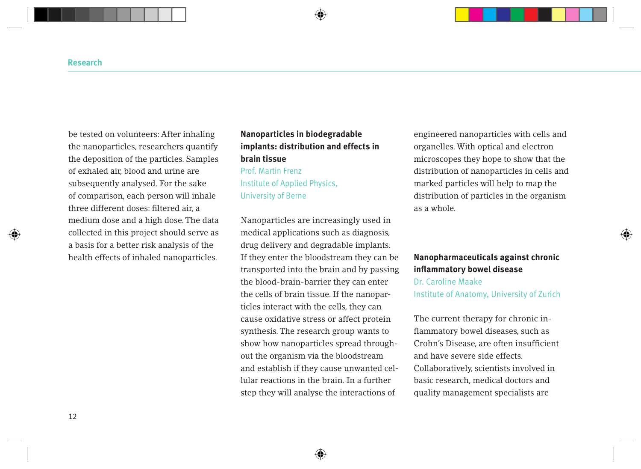be tested on volunteers: After inhaling the nanoparticles, researchers quantify the deposition of the particles. Samples of exhaled air, blood and urine are subsequently analysed. For the sake of comparison, each person will inhale three different doses: filtered air, a medium dose and a high dose. The data collected in this project should serve as a basis for a better risk analysis of the health effects of inhaled nanoparticles.

### **Nanoparticles in biodegradable implants: distribution and effects in brain tissue** Prof. Martin Frenz

Institute of Applied Physics, University of Berne

Nanoparticles are increasingly used in medical applications such as diagnosis, drug delivery and degradable implants. If they enter the bloodstream they can be transported into the brain and by passing the blood-brain-barrier they can enter the cells of brain tissue. If the nanoparticles interact with the cells, they can cause oxidative stress or affect protein synthesis. The research group wants to show how nanoparticles spread throughout the organism via the bloodstream and establish if they cause unwanted cellular reactions in the brain. In a further step they will analyse the interactions of

engineered nanoparticles with cells and organelles. With optical and electron microscopes they hope to show that the distribution of nanoparticles in cells and marked particles will help to map the distribution of particles in the organism as a whole.

### **Nanopharmaceuticals against chronic inflammatory bowel disease** Dr. Caroline Maake Institute of Anatomy, University of Zurich

The current therapy for chronic inflammatory bowel diseases, such as Crohn's Disease, are often insufficient and have severe side effects. Collaboratively, scientists involved in basic research, medical doctors and quality management specialists are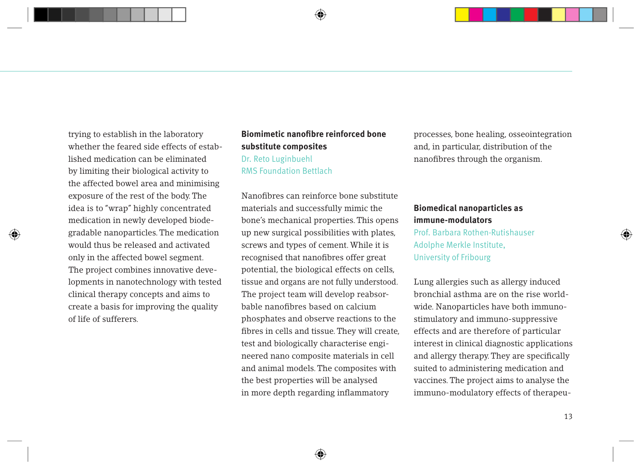trying to establish in the laboratory whether the feared side effects of established medication can be eliminated by limiting their biological activity to the affected bowel area and minimising exposure of the rest of the body. The idea is to "wrap" highly concentrated medication in newly developed biodegradable nanoparticles. The medication would thus be released and activated only in the affected bowel segment. The project combines innovative developments in nanotechnology with tested clinical therapy concepts and aims to create a basis for improving the quality of life of sufferers.

### **Biomimetic nanofibre reinforced bone substitute composites** Dr. Reto Luginbuehl RMS Foundation Bettlach

Nanofibres can reinforce bone substitute materials and successfully mimic the bone's mechanical properties. This opens up new surgical possibilities with plates, screws and types of cement. While it is recognised that nanofibres offer great potential, the biological effects on cells, tissue and organs are not fully understood. The project team will develop reabsorbable nanofibres based on calcium phosphates and observe reactions to the fibres in cells and tissue. They will create, test and biologically characterise engineered nano composite materials in cell and animal models. The composites with the best properties will be analysed in more depth regarding inflammatory

processes, bone healing, osseointegration and, in particular, distribution of the nanofibres through the organism.

#### **Biomedical nanoparticles as immune-modulators**

Prof. Barbara Rothen-Rutishauser Adolphe Merkle Institute, University of Fribourg

Lung allergies such as allergy induced bronchial asthma are on the rise worldwide. Nanoparticles have both immunostimulatory and immuno-suppressive effects and are therefore of particular interest in clinical diagnostic applications and allergy therapy. They are specifically suited to administering medication and vaccines. The project aims to analyse the immuno-modulatory effects of therapeu-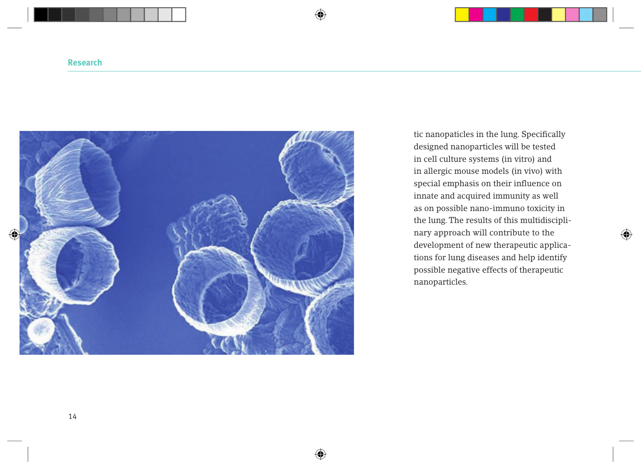

tic nanopaticles in the lung. Specifically designed nanoparticles will be tested in cell culture systems (in vitro) and in allergic mouse models (in vivo) with special emphasis on their influence on innate and acquired immunity as well as on possible nano-immuno toxicity in the lung. The results of this multidisciplinary approach will contribute to the development of new therapeutic applications for lung diseases and help identify possible negative effects of therapeutic nanoparticles.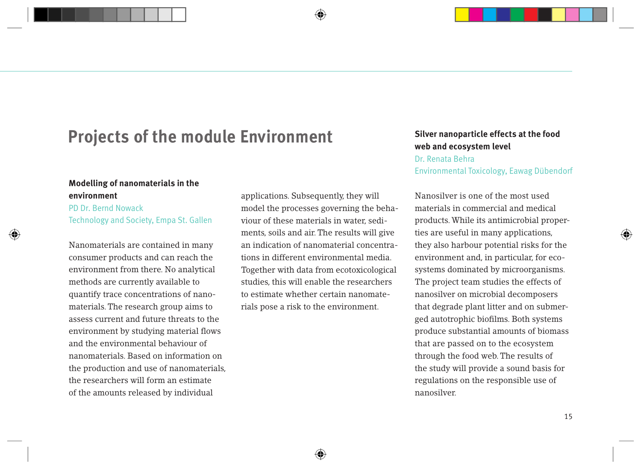## **Projects of the module Environment** Silver nanoparticle effects at the food

### **Modelling of nanomaterials in the environment**

#### PD Dr. Bernd Nowack Technology and Society, Empa St. Gallen

Nanomaterials are contained in many consumer products and can reach the environment from there. No analytical methods are currently available to quantify trace concentrations of nanomaterials. The research group aims to assess current and future threats to the environment by studying material flows and the environmental behaviour of nanomaterials. Based on information on the production and use of nanomaterials, the researchers will form an estimate of the amounts released by individual

applications. Subsequently, they will model the processes governing the behaviour of these materials in water, sediments, soils and air. The results will give an indication of nanomaterial concentrations in different environmental media. Together with data from ecotoxicological studies, this will enable the researchers to estimate whether certain nanomaterials pose a risk to the environment.

# **web and ecosystem level**

#### Dr. Renata Behra

Environmental Toxicology, Eawag Dübendorf

Nanosilver is one of the most used materials in commercial and medical products. While its antimicrobial properties are useful in many applications, they also harbour potential risks for the environment and, in particular, for ecosystems dominated by microorganisms. The project team studies the effects of nanosilver on microbial decomposers that degrade plant litter and on submerged autotrophic biofilms. Both systems produce substantial amounts of biomass that are passed on to the ecosystem through the food web. The results of the study will provide a sound basis for regulations on the responsible use of nanosilver.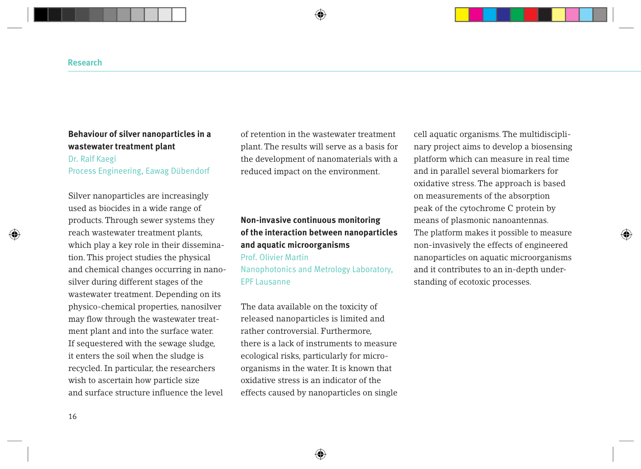#### **Behaviour of silver nanoparticles in a wastewater treatment plant**

#### Dr. Ralf Kaegi

Process Engineering, Eawag Dübendorf

Silver nanoparticles are increasingly used as biocides in a wide range of products. Through sewer systems they reach wastewater treatment plants, which play a key role in their dissemination. This project studies the physical and chemical changes occurring in nanosilver during different stages of the wastewater treatment. Depending on its physico-chemical properties, nanosilver may flow through the wastewater treatment plant and into the surface water. If sequestered with the sewage sludge, it enters the soil when the sludge is recycled. In particular, the researchers wish to ascertain how particle size and surface structure influence the level

of retention in the wastewater treatment plant. The results will serve as a basis for the development of nanomaterials with a reduced impact on the environment.

### **Non-invasive continuous monitoring of the interaction between nanoparticles and aquatic microorganisms** Prof. Olivier Martin Nanophotonics and Metrology Laboratory, EPF Lausanne

The data available on the toxicity of released nanoparticles is limited and rather controversial. Furthermore, there is a lack of instruments to measure ecological risks, particularly for microorganisms in the water. It is known that oxidative stress is an indicator of the effects caused by nanoparticles on single cell aquatic organisms. The multidisciplinary project aims to develop a biosensing platform which can measure in real time and in parallel several biomarkers for oxidative stress. The approach is based on measurements of the absorption peak of the cytochrome C protein by means of plasmonic nanoantennas. The platform makes it possible to measure non-invasively the effects of engineered nanoparticles on aquatic microorganisms and it contributes to an in-depth understanding of ecotoxic processes.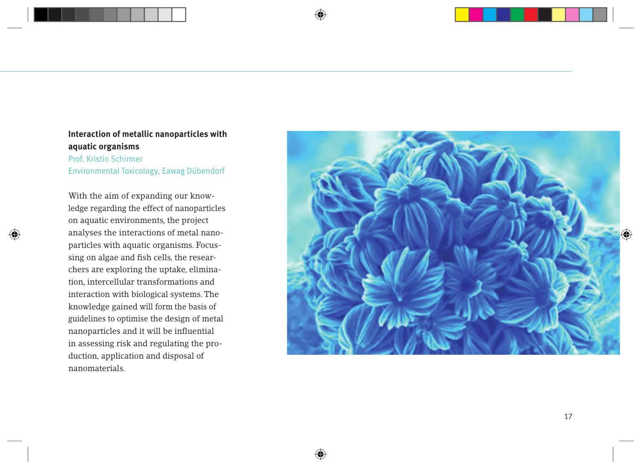#### **Interaction of metallic nanoparticles with aquatic organisms**

Prof. Kristin Schirmer Environmental Toxicology, Eawag Dübendorf

With the aim of expanding our know ledge regarding the effect of nanoparticles on aquatic environments, the project analyses the interactions of metal nano particles with aquatic organisms. Focussing on algae and fish cells, the researchers are exploring the uptake, elimination, intercellular transformations and interaction with biological systems. The knowledge gained will form the basis of guidelines to optimise the design of metal nanoparticles and it will be influential in assessing risk and regulating the production, application and disposal of nanomaterials.

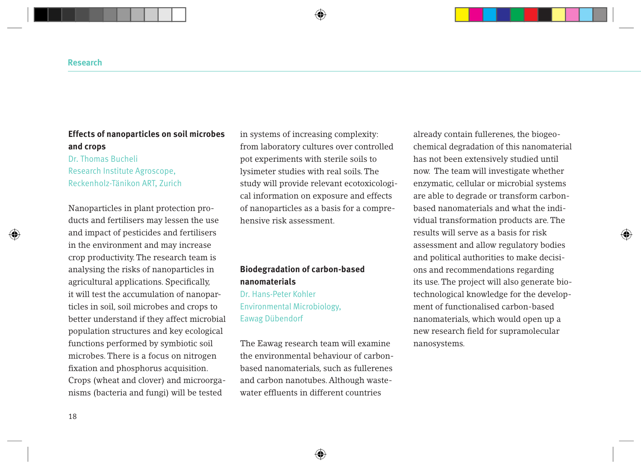### **Effects of nanoparticles on soil microbes and crops**

### Dr. Thomas Bucheli Research Institute Agroscope, Reckenholz-Tänikon ART, Zurich

Nanoparticles in plant protection products and fertilisers may lessen the use and impact of pesticides and fertilisers in the environment and may increase crop productivity. The research team is analysing the risks of nanoparticles in agricultural applications. Specifically, it will test the accumulation of nanoparticles in soil, soil microbes and crops to better understand if they affect microbial population structures and key ecological functions performed by symbiotic soil microbes. There is a focus on nitrogen fixation and phosphorus acquisition. Crops (wheat and clover) and microorganisms (bacteria and fungi) will be tested

in systems of increasing complexity: from laboratory cultures over controlled pot experiments with sterile soils to lysimeter studies with real soils. The study will provide relevant ecotoxicological information on exposure and effects of nanoparticles as a basis for a comprehensive risk assessment.

### **Biodegradation of carbon-based nanomaterials**  Dr. Hans-Peter Kohler Environmental Microbiology, Eawag Dübendorf

The Eawag research team will examine the environmental behaviour of carbonbased nanomaterials, such as fullerenes and carbon nanotubes. Although wastewater effluents in different countries

already contain fullerenes, the biogeochemical degradation of this nanomaterial has not been extensively studied until now. The team will investigate whether enzymatic, cellular or microbial systems are able to degrade or transform carbonbased nanomaterials and what the individual transformation products are. The results will serve as a basis for risk assessment and allow regulatory bodies and political authorities to make decisions and recommendations regarding its use. The project will also generate biotechnological knowledge for the development of functionalised carbon-based nanomaterials, which would open up a new research field for supramolecular nanosystems.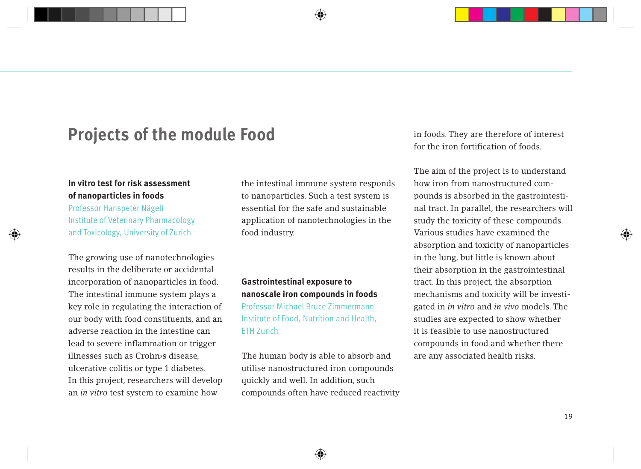## **Projects of the module Food**

#### **In vitro test for risk assessment of nanoparticles in foods**

Professor Hanspeter Nägeli Institute of Veterinary Pharmacology and Toxicology, University of Zurich

The growing use of nanotechnologies results in the deliberate or accidental incorporation of nanoparticles in food. The intestinal immune system plays a key role in regulating the interaction of our body with food constituents, and an adverse reaction in the intestine can lead to severe inflammation or trigger illnesses such as Crohn›s disease, ulcerative colitis or type 1 diabetes. In this project, researchers will develop an *in vitro* test system to examine how

the intestinal immune system responds to nanoparticles. Such a test system is essential for the safe and sustainable application of nanotechnologies in the food industry.

## **Gastrointestinal exposure to nanoscale iron compounds in foods** Professor Michael Bruce Zimmermann Institute of Food, Nutrition and Health, ETH Zurich

The human body is able to absorb and utilise nanostructured iron compounds quickly and well. In addition, such compounds often have reduced reactivity in foods. They are therefore of interest for the iron fortification of foods.

The aim of the project is to understand how iron from nanostructured compounds is absorbed in the gastrointestinal tract. In parallel, the researchers will study the toxicity of these compounds. Various studies have examined the absorption and toxicity of nanoparticles in the lung, but little is known about their absorption in the gastrointestinal tract. In this project, the absorption mechanisms and toxicity will be investigated in *in vitro* and *in vivo* models. The studies are expected to show whether it is feasible to use nanostructured compounds in food and whether there are any associated health risks.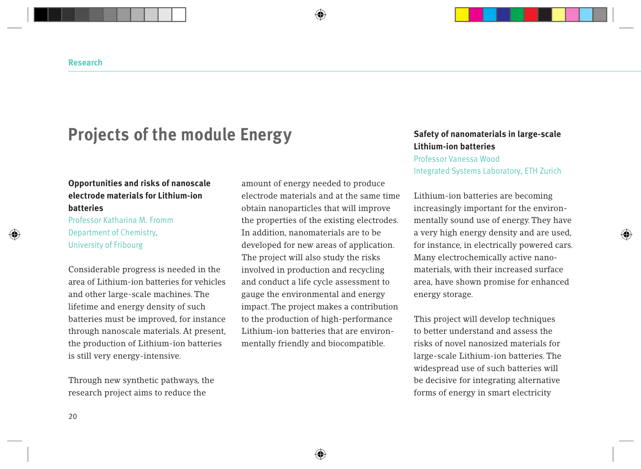## **Projects of the module Energy** Safety of nanomaterials in large-scale

#### **Opportunities and risks of nanoscale electrode materials for Lithium-ion batteries**

Professor Katharina M. Fromm Department of Chemistry, University of Fribourg

Considerable progress is needed in the area of Lithium-ion batteries for vehicles and other large-scale machines. The lifetime and energy density of such batteries must be improved, for instance through nanoscale materials. At present, the production of Lithium-ion batteries is still very energy-intensive.

Through new synthetic pathways, the research project aims to reduce the

amount of energy needed to produce electrode materials and at the same time obtain nanoparticles that will improve the properties of the existing electrodes. In addition, nanomaterials are to be developed for new areas of application. The project will also study the risks involved in production and recycling and conduct a life cycle assessment to gauge the environmental and energy impact. The project makes a contribution to the production of high-performance Lithium-ion batteries that are environmentally friendly and biocompatible.

# **Lithium-ion batteries**

Professor Vanessa Wood

Integrated Systems Laboratory, ETH Zurich

Lithium-ion batteries are becoming increasingly important for the environmentally sound use of energy. They have a very high energy density and are used, for instance, in electrically powered cars. Many electrochemically active nanomaterials, with their increased surface area, have shown promise for enhanced energy storage.

This project will develop techniques to better understand and assess the risks of novel nanosized materials for large-scale Lithium-ion batteries. The widespread use of such batteries will be decisive for integrating alternative forms of energy in smart electricity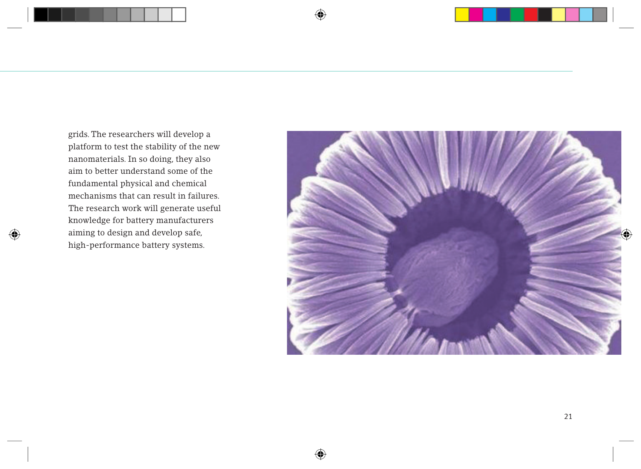grids. The researchers will develop a platform to test the stability of the new nanomaterials. In so doing, they also aim to better understand some of the fundamental physical and chemical mechanisms that can result in failures. The research work will generate useful knowledge for battery manufacturers aiming to design and develop safe, high-performance battery systems.

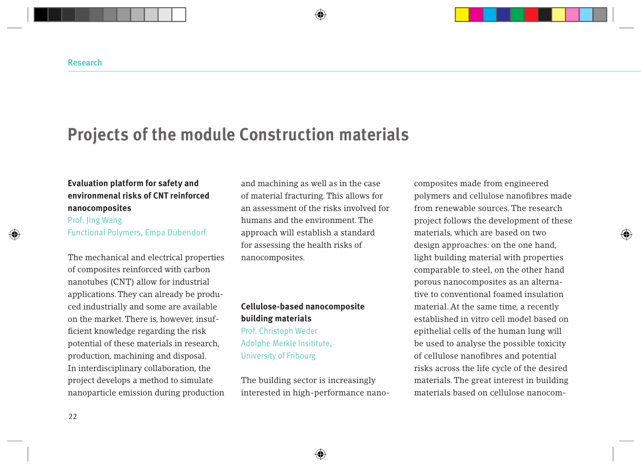## **Projects of the module Construction materials**

## **Evaluation platform for safety and environmenal risks of CNT reinforced nanocomposites**

Prof. Jing Wang Functional Polymers, Empa Dübendorf

The mechanical and electrical properties of composites reinforced with carbon nanotubes (CNT) allow for industrial applications. They can already be produced industrially and some are available on the market. There is, however, insufficient knowledge regarding the risk potential of these materials in research, production, machining and disposal. In interdisciplinary collaboration, the project develops a method to simulate nanoparticle emission during production and machining as well as in the case of material fracturing. This allows for an assessment of the risks involved for humans and the environment. The approach will establish a standard for assessing the health risks of nanocomposites.

### **Cellulose-based nanocomposite building materials**

Prof. Christoph Weder Adolphe Merkle Insititute, University of Fribourg

The building sector is increasingly interested in high-performance nanocomposites made from engineered polymers and cellulose nanofibres made from renewable sources. The research project follows the development of these materials, which are based on two design approaches: on the one hand, light building material with properties comparable to steel, on the other hand porous nanocomposites as an alternative to conventional foamed insulation material. At the same time, a recently established in vitro cell model based on epithelial cells of the human lung will be used to analyse the possible toxicity of cellulose nanofibres and potential risks across the life cycle of the desired materials. The great interest in building materials based on cellulose nanocom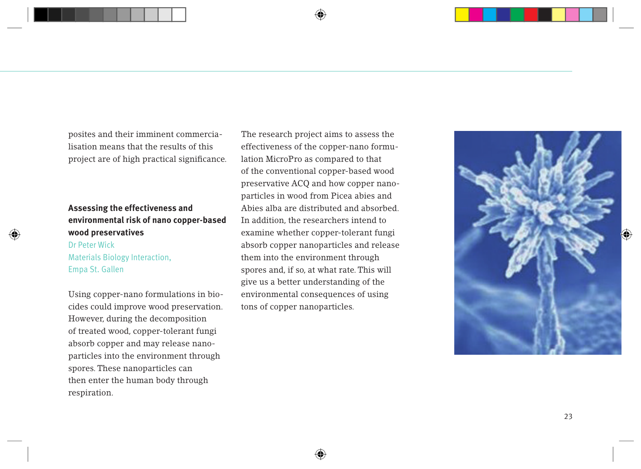posites and their imminent commercialisation means that the results of this project are of high practical significance.

### **Assessing the effectiveness and environmental risk of nano copper-based wood preservatives**

### Dr Peter Wick Materials Biology Interaction, Empa St. Gallen

Using copper-nano formulations in biocides could improve wood preservation. However, during the decomposition of treated wood, copper-tolerant fungi absorb copper and may release nanoparticles into the environment through spores. These nanoparticles can then enter the human body through respiration.

The research project aims to assess the effectiveness of the copper-nano formulation MicroPro as compared to that of the conventional copper-based wood preservative ACQ and how copper nanoparticles in wood from Picea abies and Abies alba are distributed and absorbed. In addition, the researchers intend to examine whether copper-tolerant fungi absorb copper nanoparticles and release them into the environment through spores and, if so, at what rate. This will give us a better understanding of the environmental consequences of using tons of copper nanoparticles.

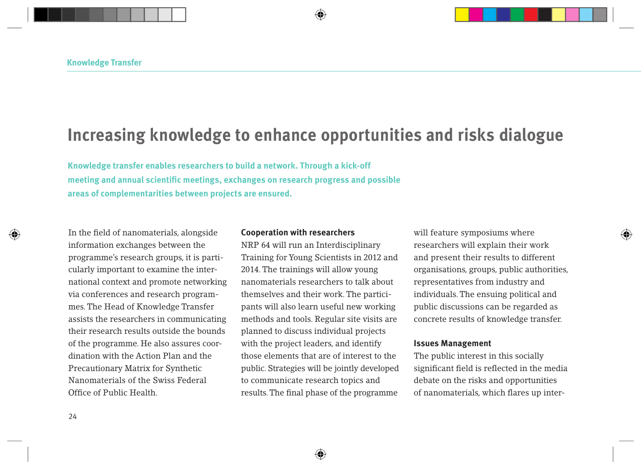## **Increasing knowledge to enhance opportunities and risks dialogue**

**Knowledge transfer enables researchers to build a network. Through a kick-off meeting and annual scientific meetings, exchanges on research progress and possible areas of complementarities between projects are ensured.** 

In the field of nanomaterials, alongside information exchanges between the programme's research groups, it is particularly important to examine the international context and promote networking via conferences and research programmes. The Head of Knowledge Transfer assists the researchers in communicating their research results outside the bounds of the programme. He also assures coordination with the Action Plan and the Precautionary Matrix for Synthetic Nanomaterials of the Swiss Federal Office of Public Health.

#### **Cooperation with researchers**

NRP 64 will run an Interdisciplinary Training for Young Scientists in 2012 and 2014. The trainings will allow young nanomaterials researchers to talk about themselves and their work. The participants will also learn useful new working methods and tools. Regular site visits are planned to discuss individual projects with the project leaders, and identify those elements that are of interest to the public. Strategies will be jointly developed to communicate research topics and results. The final phase of the programme

will feature symposiums where researchers will explain their work and present their results to different organisations, groups, public authorities, representatives from industry and individuals. The ensuing political and public discussions can be regarded as concrete results of knowledge transfer.

#### **Issues Management**

The public interest in this socially significant field is reflected in the media debate on the risks and opportunities of nanomaterials, which flares up inter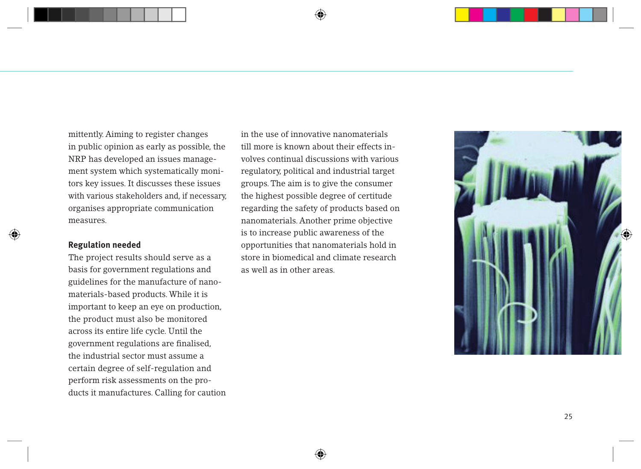mittently. Aiming to register changes in public opinion as early as possible, the NRP has developed an issues management system which systematically monitors key issues. It discusses these issues with various stakeholders and, if necessary, organises appropriate communication measures.

#### **Regulation needed**

The project results should serve as a basis for government regulations and guidelines for the manufacture of nanomaterials-based products. While it is important to keep an eye on production, the product must also be monitored across its entire life cycle. Until the government regulations are finalised, the industrial sector must assume a certain degree of self-regulation and perform risk assessments on the products it manufactures. Calling for caution in the use of innovative nanomaterials till more is known about their effects involves continual discussions with various regulatory, political and industrial target groups. The aim is to give the consumer the highest possible degree of certitude regarding the safety of products based on nanomaterials. Another prime objective is to increase public awareness of the opportunities that nanomaterials hold in store in biomedical and climate research as well as in other areas.

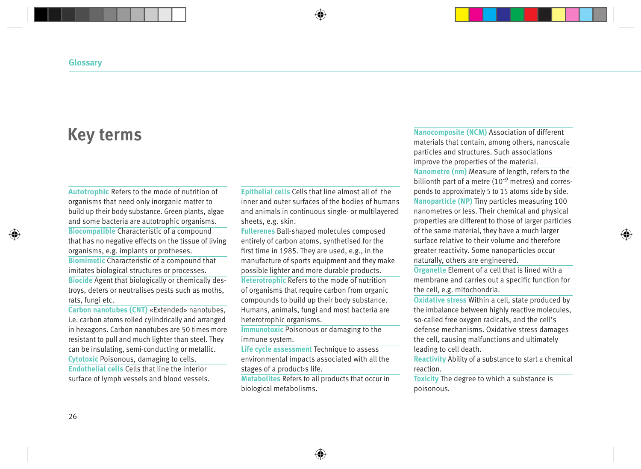## **Key terms**

**Autotrophic** Refers to the mode of nutrition of organisms that need only inorganic matter to build up their body substance. Green plants, algae and some bacteria are autotrophic organisms. **Biocompatible** Characteristic of a compound that has no negative effects on the tissue of living organisms, e.g. implants or protheses. **Biomimetic** Characteristic of a compound that imitates biological structures or processes. **Biocide** Agent that biologically or chemically destroys, deters or neutralises pests such as moths, rats, fungi etc.

**Carbon nanotubes (CNT)** «Extended» nanotubes, i.e. carbon atoms rolled cylindrically and arranged in hexagons. Carbon nanotubes are 50 times more resistant to pull and much lighter than steel. They can be insulating, semi-conducting or metallic. **Cytotoxic** Poisonous, damaging to cells. **Endothelial cells** Cells that line the interior surface of lymph vessels and blood vessels.

**Epithelial cells** Cells that line almost all of the inner and outer surfaces of the bodies of humans and animals in continuous single- or multilayered sheets, e.g. skin.

**Fullerenes** Ball-shaped molecules composed entirely of carbon atoms, synthetised for the first time in 1985. They are used, e.g., in the manufacture of sports equipment and they make possible lighter and more durable products. **Heterotrophic** Refers to the mode of nutrition of organisms that require carbon from organic compounds to build up their body substance. Humans, animals, fungi and most bacteria are heterotrophic organisms.

**Immunotoxic** Poisonous or damaging to the immune system.

**Life cycle assessment Technique to assess** environmental impacts associated with all the stages of a product›s life.

**Metabolites** Refers to all products that occur in biological metabolisms.

**Nanocomposite (NCM)** Association of different materials that contain, among others, nanoscale particles and structures. Such associations improve the properties of the material. **Nanometre (nm)** Measure of length, refers to the billionth part of a metre (10<sup>-9</sup> metres) and corresponds to approximately 5 to 15 atoms side by side. **Nanoparticle (NP)** Tiny particles measuring 100 nanometres or less. Their chemical and physical properties are different to those of larger particles of the same material, they have a much larger surface relative to their volume and therefore greater reactivity. Some nanoparticles occur naturally, others are engineered.

**Organelle** Element of a cell that is lined with a membrane and carries out a specific function for the cell, e.g. mitochondria.

**Oxidative stress** Within a cell, state produced by the imbalance between highly reactive molecules, so-called free oxygen radicals, and the cell's defense mechanisms. Oxidative stress damages the cell, causing malfunctions and ultimately leading to cell death.

**Reactivity** Ability of a substance to start a chemical reaction.

**Toxicity** The degree to which a substance is poisonous.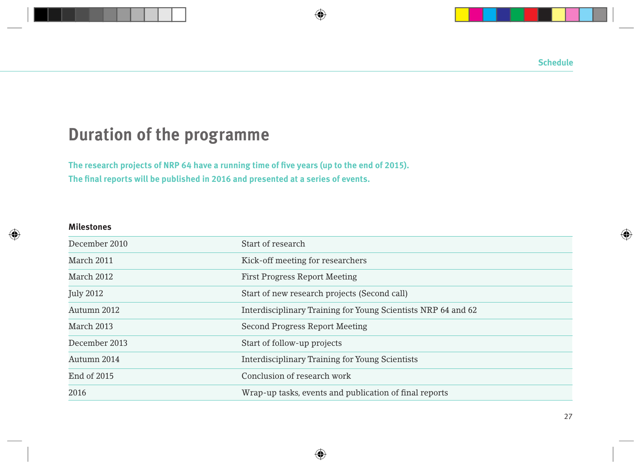## **Duration of the programme**

**The research projects of NRP 64 have a running time of five years (up to the end of 2015). The final reports will be published in 2016 and presented at a series of events.**

#### **Milestones**

| December 2010    | Start of research                                             |
|------------------|---------------------------------------------------------------|
| March 2011       | Kick-off meeting for researchers                              |
| March 2012       | <b>First Progress Report Meeting</b>                          |
| <b>July 2012</b> | Start of new research projects (Second call)                  |
| Autumn 2012      | Interdisciplinary Training for Young Scientists NRP 64 and 62 |
| March 2013       | Second Progress Report Meeting                                |
| December 2013    | Start of follow-up projects                                   |
| Autumn 2014      | Interdisciplinary Training for Young Scientists               |
| End of 2015      | Conclusion of research work                                   |
| 2016             | Wrap-up tasks, events and publication of final reports        |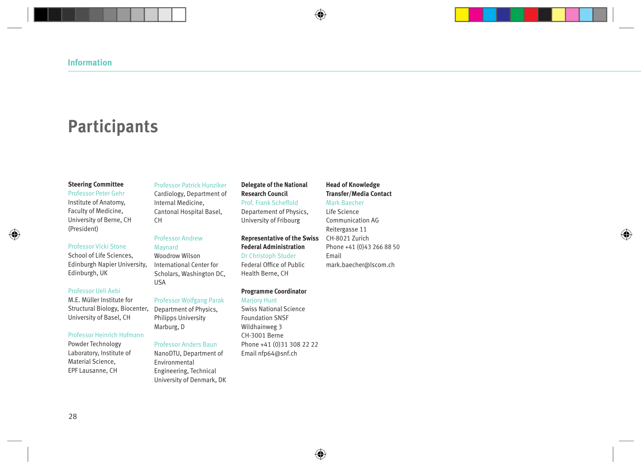## **Participants**

#### **Steering Committee**

Professor Peter Gehr Institute of Anatomy, Faculty of Medicine, University of Berne, CH (President)

#### Professor Vicki Stone

School of Life Sciences, Edinburgh Napier University, Edinburgh, UK

#### Professor Ueli Aebi

M.E. Müller Institute for Structural Biology, Biocenter, University of Basel, CH

#### Professor Heinrich Hofmann

Powder Technology Laboratory, Institute of Material Science, EPF Lausanne, CH

#### Professor Patrick Hunziker

Cardiology, Department of Internal Medicine, Cantonal Hospital Basel, CH

#### Professor Andrew Maynard

Woodrow Wilson International Center for Scholars, Washington DC, USA

#### Professor Wolfgang Parak

Department of Physics, Philipps University Marburg, D

#### Professor Anders Baun

NanoDTU, Department of Environmental Engineering, Technical University of Denmark, DK

#### **Delegate of the National Research Council** Prof. Frank Scheffold Departement of Physics,

University of Fribourg

#### **Representative of the Swiss Federal Administration** Dr Christoph Studer Federal Office of Public Health Berne, CH

**Programme Coordinator**

Marjory Hunt Swiss National Science Foundation SNSF Wildhainweg 3 CH-3001 Berne Phone +41 (0)31 308 22 22 Email nfp64@snf.ch

#### **Head of Knowledge Transfer/Media Contact**

#### Mark Baecher

Life Science Communication AG Reitergasse 11 CH-8021 Zurich Phone +41 (0)43 266 88 50 Email mark.baecher@lscom.ch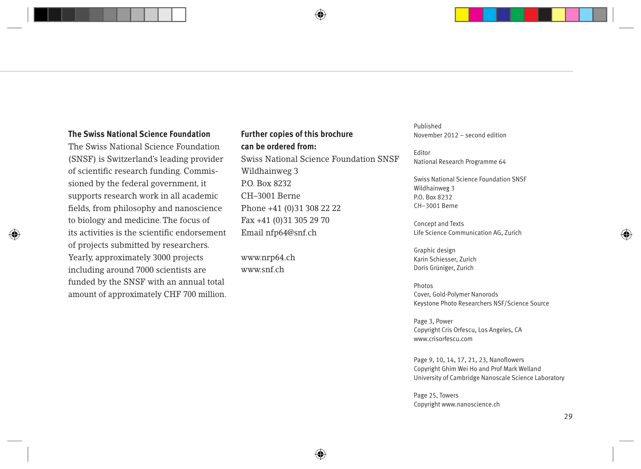#### **The Swiss National Science Foundation**

The Swiss National Science Foundation (SNSF) is Switzerland's leading provider of scientific research funding. Commissioned by the federal government, it supports research work in all academic fields, from philosophy and nanoscience to biology and medicine. The focus of its activities is the scientific endorsement of projects submitted by researchers. Yearly, approximately 3000 projects including around 7000 scientists are funded by the SNSF with an annual total amount of approximately CHF 700 million.

### **Further copies of this brochure can be ordered from:**

Swiss National Science Foundation SNSF Wildhainweg 3 P.O. Box 8232 CH–3001 Berne Phone +41 (0)31 308 22 22 Fax +41 (0)31 305 29 70 Email nfp64@snf.ch

www.nrp64.ch www.snf.ch

Published November 2012 – second edition

Editor National Research Programme 64

Swiss National Science Foundation SNSF Wildhainweg 3 P.O. Box 8232 CH–3001 Berne

Concept and Texts Life Science Communication AG, Zurich

Graphic design Karin Schiesser, Zurich Doris Grüniger, Zurich

Photos Cover, Gold-Polymer Nanorods Keystone Photo Researchers NSF/Science Source

Page 3, Power Copyright Cris Orfescu, Los Angeles, CA www.crisorfescu.com

Page 9, 10, 14, 17, 21, 23, Nanoflowers Copyright Ghim Wei Ho and Prof Mark Welland University of Cambridge Nanoscale Science Laboratory

Page 25, Towers Copyright www.nanoscience.ch